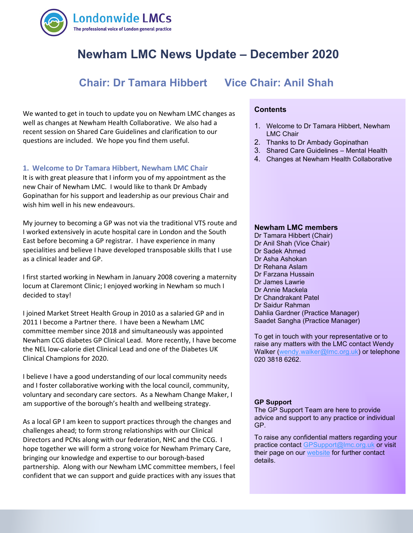

# **Newham LMC News Update – December 2020**

# **Chair: Dr Tamara Hibbert Vice Chair: Anil Shah**

 recent session on Shared Care Guidelines and clarification to our We wanted to get in touch to update you on Newham LMC changes as well as changes at Newham Health Collaborative. We also had a questions are included. We hope you find them useful.

#### **1. Welcome to Dr Tamara Hibbert, Newham LMC Chair**

It is with great pleasure that I inform you of my appointment as the new Chair of Newham LMC. I would like to thank Dr Ambady Gopinathan for his support and leadership as our previous Chair and wish him well in his new endeavours.

My journey to becoming a GP was not via the traditional VTS route and I worked extensively in acute hospital care in London and the South East before becoming a GP registrar. I have experience in many specialities and believe I have developed transposable skills that I use as a clinical leader and GP.

I first started working in Newham in January 2008 covering a maternity locum at Claremont Clinic; I enjoyed working in Newham so much I decided to stay!

I joined Market Street Health Group in 2010 as a salaried GP and in 2011 I become a Partner there. I have been a Newham LMC committee member since 2018 and simultaneously was appointed Newham CCG diabetes GP Clinical Lead. More recently, I have become the NEL low-calorie diet Clinical Lead and one of the Diabetes UK Clinical Champions for 2020.

I believe I have a good understanding of our local community needs and I foster collaborative working with the local council, community, voluntary and secondary care sectors. As a Newham Change Maker, I am supportive of the borough's health and wellbeing strategy.

As a local GP I am keen to support practices through the changes and challenges ahead; to form strong relationships with our Clinical Directors and PCNs along with our federation, NHC and the CCG. I hope together we will form a strong voice for Newham Primary Care, bringing our knowledge and expertise to our borough-based partnership. Along with our Newham LMC committee members, I feel confident that we can support and guide practices with any issues that

#### **Contents**

- 1. Welcome to Dr Tamara Hibbert, Newham LMC Chair
- 2. Thanks to Dr Ambady Gopinathan
- 3. Shared Care Guidelines Mental Health
- 4. Changes at Newham Health Collaborative

#### **Newham LMC members**

Dr Tamara Hibbert (Chair) Dr Anil Shah (Vice Chair) Dr Sadek Ahmed Dr Asha Ashokan Dr Rehana Aslam Dr Farzana Hussain Dr James Lawrie Dr Annie Mackela Dr Chandrakant Patel Dr Saidur Rahman Dahlia Gardner (Practice Manager) Saadet Sangha (Practice Manager)

To get in touch with your representative or to raise any matters with the LMC contact Wendy Walker [\(wendy.walker@lmc.org.uk\)](mailto:wendy.walker@lmc.org.uk) or telephone 020 3818 6262.

#### **GP Support**

The GP Support Team are here to provide advice and support to any practice or individual GP.

To raise any confidential matters regarding your practice contact [GPSupport@lmc.org.uk](mailto:GPSupport@lmc.org.uk) or visit their page on our [website](https://www.lmc.org.uk/page.php?id=39) for further contact details.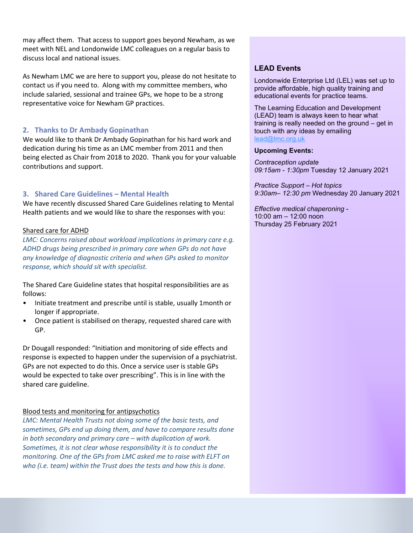may affect them. That access to support goes beyond Newham, as we meet with NEL and Londonwide LMC colleagues on a regular basis to discuss local and national issues.

As Newham LMC we are here to support you, please do not hesitate to contact us if you need to. Along with my committee members, who include salaried, sessional and trainee GPs, we hope to be a strong representative voice for Newham GP practices.

## **2. Thanks to Dr Ambady Gopinathan**

We would like to thank Dr Ambady Gopinathan for his hard work and dedication during his time as an LMC member from 2011 and then being elected as Chair from 2018 to 2020. Thank you for your valuable contributions and support.

# **3. Shared Care Guidelines – Mental Health**

We have recently discussed Shared Care Guidelines relating to Mental Health patients and we would like to share the responses with you:

## Shared care for ADHD

*LMC: Concerns raised about workload implications in primary care e.g. ADHD drugs being prescribed in primary care when GPs do not have any knowledge of diagnostic criteria and when GPs asked to monitor response, which should sit with specialist.* 

The Shared Care Guideline states that hospital responsibilities are as follows:

- Initiate treatment and prescribe until is stable, usually 1month or longer if appropriate.
- Once patient is stabilised on therapy, requested shared care with GP.

Dr Dougall responded: "Initiation and monitoring of side effects and response is expected to happen under the supervision of a psychiatrist. GPs are not expected to do this. Once a service user is stable GPs would be expected to take over prescribing". This is in line with the shared care guideline.

### Blood tests and monitoring for antipsychotics

*LMC: Mental Health Trusts not doing some of the basic tests, and sometimes, GPs end up doing them, and have to compare results done in both secondary and primary care – with duplication of work. Sometimes, it is not clear whose responsibility it is to conduct the monitoring. One of the GPs from LMC asked me to raise with ELFT on who (i.e. team) within the Trust does the tests and how this is done.* 

# **LEAD Events**

Londonwide Enterprise Ltd (LEL) was set up to provide affordable, high quality training and educational events for practice teams.

The Learning Education and Development (LEAD) team is always keen to hear what training is really needed on the ground – get in touch with any ideas by emailing [lead@lmc.org.uk](mailto:lead@lmc.org.uk) 

#### **Upcoming Events:**

*Contraception update 09:15am - 1:30pm* Tuesday 12 January 2021

*Practice Support – Hot topics 9:30am– 12:30 pm* Wednesday 20 January 2021

*Effective medical chaperoning -* 10:00 am – 12:00 noon Thursday 25 February 2021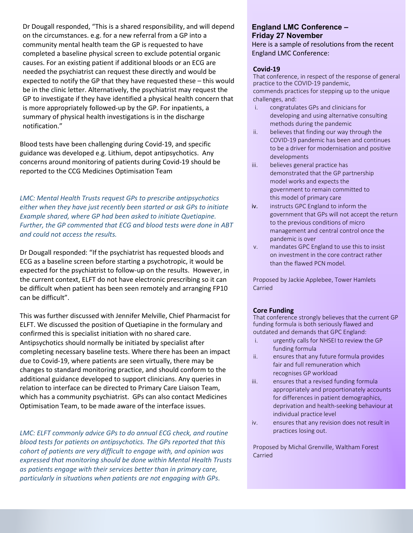Dr Dougall responded, "This is a shared responsibility, and will depend on the circumstances. e.g. for a new referral from a GP into a community mental health team the GP is requested to have completed a baseline physical screen to exclude potential organic causes. For an existing patient if additional bloods or an ECG are needed the psychiatrist can request these directly and would be expected to notify the GP that they have requested these – this would be in the clinic letter. Alternatively, the psychiatrist may request the GP to investigate if they have identified a physical health concern that is more appropriately followed-up by the GP. For inpatients, a summary of physical health investigations is in the discharge notification."

Blood tests have been challenging during Covid-19, and specific guidance was developed e.g. Lithium, depot antipsychotics. Any concerns around monitoring of patients during Covid-19 should be reported to the CCG Medicines Optimisation Team

*LMC: Mental Health Trusts request GPs to prescribe antipsychotics either when they have just recently been started or ask GPs to initiate Example shared, where GP had been asked to initiate Quetiapine. Further, the GP commented that ECG and blood tests were done in ABT and could not access the results.*

Dr Dougall responded: "If the psychiatrist has requested bloods and ECG as a baseline screen before starting a psychotropic, it would be expected for the psychiatrist to follow-up on the results. However, in the current context, ELFT do not have electronic prescribing so it can be difficult when patient has been seen remotely and arranging FP10 can be difficult".

This was further discussed with Jennifer Melville, Chief Pharmacist for ELFT. We discussed the position of Quetiapine in the formulary and confirmed this is specialist initiation with no shared care. Antipsychotics should normally be initiated by specialist after completing necessary baseline tests. Where there has been an impact due to Covid-19, where patients are seen virtually, there may be changes to standard monitoring practice, and should conform to the additional guidance developed to support clinicians. Any queries in relation to interface can be directed to Primary Care Liaison Team, which has a community psychiatrist. GPs can also contact Medicines Optimisation Team, to be made aware of the interface issues.

*LMC: ELFT commonly advice GPs to do annual ECG check, and routine blood tests for patients on antipsychotics. The GPs reported that this cohort of patients are very difficult to engage with, and opinion was expressed that monitoring should be done within Mental Health Trusts as patients engage with their services better than in primary care, particularly in situations when patients are not engaging with GPs.*

### **England LMC Conference – Friday 27 November** Here is a sample of resolutions from the recent England LMC Conference:

#### **Covid-19**

That conference, in respect of the response of general practice to the COVID-19 pandemic, commends practices for stepping up to the unique challenges, and:

- i. congratulates GPs and clinicians for developing and using alternative consulting methods during the pandemic
- ii. believes that finding our way through the COVID-19 pandemic has been and continues to be a driver for modernisation and positive developments
- iii. believes general practice has demonstrated that the GP partnership model works and expects the government to remain committed to this model of primary care
- iv. instructs GPC England to inform the government that GPs will not accept the return to the previous conditions of micro management and central control once the pandemic is over
- v. mandates GPC England to use this to insist on investment in the core contract rather than the flawed PCN model.

Proposed by Jackie Applebee, Tower Hamlets Carried

#### **Core Funding**

That conference strongly believes that the current GP funding formula is both seriously flawed and outdated and demands that GPC England:

- i. urgently calls for NHSEI to review the GP funding formula
- ii. ensures that any future formula provides fair and full remuneration which recognises GP workload
- iii. ensures that a revised funding formula appropriately and proportionately accounts for differences in patient demographics, deprivation and health-seeking behaviour at individual practice level
- iv. ensures that any revision does not result in practices losing out.

Proposed by Michal Grenville, Waltham Forest Carried